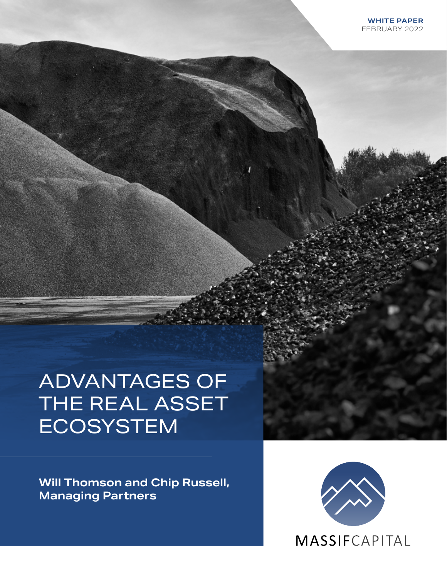# ADVANTAGES OF THE REAL ASSET ECOSYSTEM

**Will Thomson and Chip Russell, Managing Partners** 

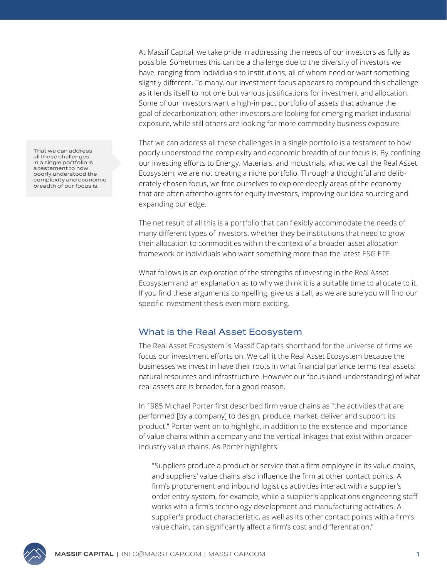At Massif Capital, we take pride in addressing the needs of our investors as fully as possible. Sometimes this can be a challenge due to the diversity of investors we have, ranging from individuals to institutions, all of whom need or want something slightly different. To many, our investment focus appears to compound this challenge as it lends itself to not one but various justifications for investment and allocation. Some of our investors want a high-impact portfolio of assets that advance the goal of decarbonization; other investors are looking for emerging market industrial exposure, while still others are looking for more commodity business exposure.

That we can address all these challenges in a single portfolio is a testament to how poorly understood the complexity and economic breadth of our focus is. By confining our investing efforts to Energy, Materials, and Industrials, what we call the Real Asset Ecosystem, we are not creating a niche portfolio. Through a thoughtful and deliberately chosen focus, we free ourselves to explore deeply areas of the economy that are often afterthoughts for equity investors, improving our idea sourcing and expanding our edge.

The net result of all this is a portfolio that can flexibly accommodate the needs of many different types of investors, whether they be institutions that need to grow their allocation to commodities within the context of a broader asset allocation framework or individuals who want something more than the latest ESG ETF.

What follows is an exploration of the strengths of investing in the Real Asset Ecosystem and an explanation as to why we think it is a suitable time to allocate to it. If you find these arguments compelling, give us a call, as we are sure you will find our specific investment thesis even more exciting.

### What is the Real Asset Ecosystem

The Real Asset Ecosystem is Massif Capital's shorthand for the universe of firms we focus our investment efforts on. We call it the Real Asset Ecosystem because the businesses we invest in have their roots in what financial parlance terms real assets: natural resources and infrastructure. However our focus (and understanding) of what real assets are is broader, for a good reason.

In 1985 Michael Porter first described firm value chains as "the activities that are performed [by a company] to design, produce, market, deliver and support its product." Porter went on to highlight, in addition to the existence and importance of value chains within a company and the vertical linkages that exist within broader industry value chains. As Porter highlights:

"Suppliers produce a product or service that a firm employee in its value chains, and suppliers' value chains also influence the firm at other contact points. A firm's procurement and inbound logistics activities interact with a supplier's order entry system, for example, while a supplier's applications engineering staff works with a firm's technology development and manufacturing activities. A supplier's product characteristic, as well as its other contact points with a firm's value chain, can significantly affect a firm's cost and differentiation."

That we can address all these challenges in a single portfolio is a testament to how poorly understood the complexity and economic breadth of our focus is.

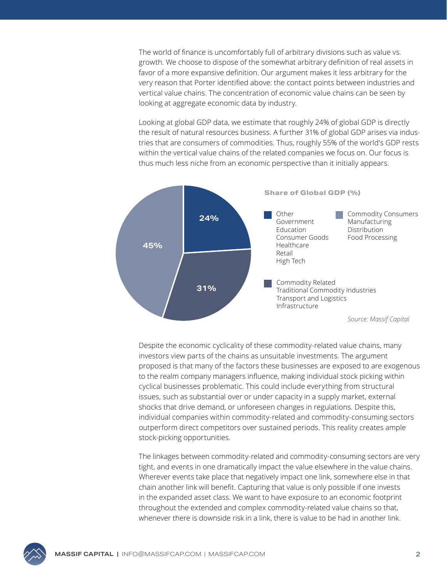The world of finance is uncomfortably full of arbitrary divisions such as value vs. growth. We choose to dispose of the somewhat arbitrary definition of real assets in favor of a more expansive definition. Our argument makes it less arbitrary for the very reason that Porter identified above: the contact points between industries and vertical value chains. The concentration of economic value chains can be seen by looking at aggregate economic data by industry.

Looking at global GDP data, we estimate that roughly 24% of global GDP is directly the result of natural resources business. A further 31% of global GDP arises via industries that are consumers of commodities. Thus, roughly 55% of the world's GDP rests within the vertical value chains of the related companies we focus on. Our focus is thus much less niche from an economic perspective than it initially appears.



Despite the economic cyclicality of these commodity-related value chains, many investors view parts of the chains as unsuitable investments. The argument proposed is that many of the factors these businesses are exposed to are exogenous to the realm company managers influence, making individual stock picking within cyclical businesses problematic. This could include everything from structural issues, such as substantial over or under capacity in a supply market, external shocks that drive demand, or unforeseen changes in regulations. Despite this, individual companies within commodity-related and commodity-consuming sectors outperform direct competitors over sustained periods. This reality creates ample stock-picking opportunities.

The linkages between commodity-related and commodity-consuming sectors are very tight, and events in one dramatically impact the value elsewhere in the value chains. Wherever events take place that negatively impact one link, somewhere else in that chain another link will benefit. Capturing that value is only possible if one invests in the expanded asset class. We want to have exposure to an economic footprint throughout the extended and complex commodity-related value chains so that, whenever there is downside risk in a link, there is value to be had in another link.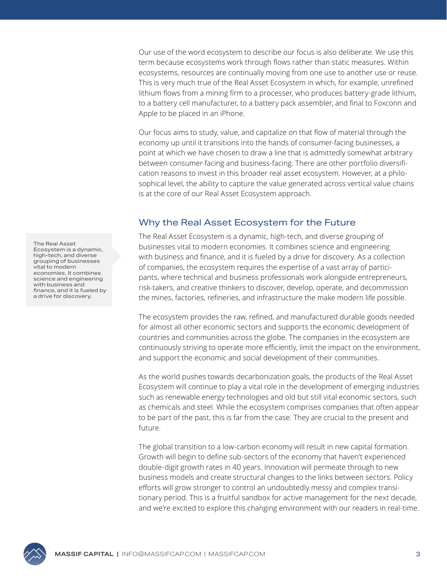Our use of the word ecosystem to describe our focus is also deliberate. We use this term because ecosystems work through flows rather than static measures. Within ecosystems, resources are continually moving from one use to another use or reuse. This is very much true of the Real Asset Ecosystem in which, for example, unrefined lithium flows from a mining firm to a processer, who produces battery-grade lithium, to a battery cell manufacturer, to a battery pack assembler, and final to Foxconn and Apple to be placed in an iPhone.

Our focus aims to study, value, and capitalize on that flow of material through the economy up until it transitions into the hands of consumer-facing businesses, a point at which we have chosen to draw a line that is admittedly somewhat arbitrary between consumer-facing and business-facing. There are other portfolio diversification reasons to invest in this broader real asset ecosystem. However, at a philosophical level, the ability to capture the value generated across vertical value chains is at the core of our Real Asset Ecosystem approach.

## Why the Real Asset Ecosystem for the Future

The Real Asset Ecosystem is a dynamic, high-tech, and diverse grouping of businesses vital to modern economies. It combines science and engineering with business and finance, and it is fueled by a drive for discovery. As a collection of companies, the ecosystem requires the expertise of a vast array of participants, where technical and business professionals work alongside entrepreneurs, risk-takers, and creative thinkers to discover, develop, operate, and decommission the mines, factories, refineries, and infrastructure the make modern life possible.

The ecosystem provides the raw, refined, and manufactured durable goods needed for almost all other economic sectors and supports the economic development of countries and communities across the globe. The companies in the ecosystem are continuously striving to operate more efficiently, limit the impact on the environment, and support the economic and social development of their communities.

As the world pushes towards decarbonization goals, the products of the Real Asset Ecosystem will continue to play a vital role in the development of emerging industries such as renewable energy technologies and old but still vital economic sectors, such as chemicals and steel. While the ecosystem comprises companies that often appear to be part of the past, this is far from the case. They are crucial to the present and future.

The global transition to a low-carbon economy will result in new capital formation. Growth will begin to define sub-sectors of the economy that haven't experienced double-digit growth rates in 40 years. Innovation will permeate through to new business models and create structural changes to the links between sectors. Policy efforts will grow stronger to control an undoubtedly messy and complex transitionary period. This is a fruitful sandbox for active management for the next decade, and we're excited to explore this changing environment with our readers in real-time.

The Real Asset Ecosystem is a dynamic, high-tech, and diverse grouping of businesses vital to modern economies. It combines science and engineering with business and finance, and it is fueled by a drive for discovery.

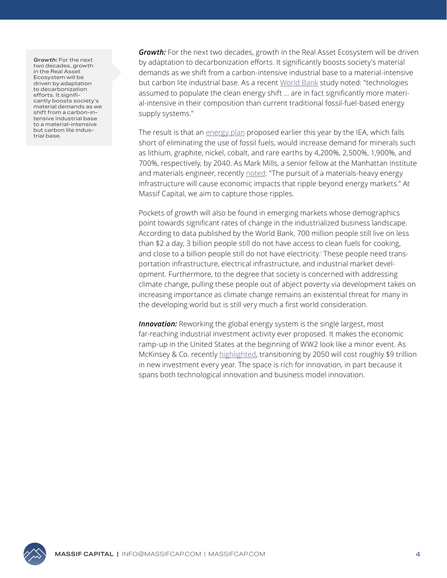*Growth:* For the next two decades, growth in the Real Asset Ecosystem will be driven by adaptation to decarbonization efforts. It significantly boosts society's material demands as we shift from a carbon-intensive industrial base to a material-intensive but carbon lite industrial base.

*Growth:* For the next two decades, growth in the Real Asset Ecosystem will be driven by adaptation to decarbonization efforts. It significantly boosts society's material demands as we shift from a carbon-intensive industrial base to a material-intensive but carbon lite industrial base. As a recent [World Bank](https://documents1.worldbank.org/curated/en/207371500386458722/pdf/117581-WP-P159838-PUBLIC-ClimateSmartMiningJuly.pdf) study noted: "technologies assumed to populate the clean energy shift … are in fact significantly more material-intensive in their composition than current traditional fossil-fuel-based energy supply systems."

The result is that an [energy plan](https://www.iea.org/reports/the-role-of-critical-minerals-in-clean-energy-transitions) proposed earlier this year by the IEA, which falls short of eliminating the use of fossil fuels, would increase demand for minerals such as lithium, graphite, nickel, cobalt, and rare earths by 4,200%, 2,500%, 1,900%, and 700%, respectively, by 2040. As Mark Mills, a senior fellow at the Manhattan Institute and materials engineer, recently [noted](https://issues.org/environmental-economic-costs-minerals-solar-wind-batteries-mills/#.YfKrfLZvyYk.linkedin): "The pursuit of a materials-heavy energy infrastructure will cause economic impacts that ripple beyond energy markets." At Massif Capital, we aim to capture those ripples.

Pockets of growth will also be found in emerging markets whose demographics point towards significant rates of change in the industrialized business landscape. According to data published by the World Bank, 700 million people still live on less than \$2 a day, 3 billion people still do not have access to clean fuels for cooking, and close to a billion people still do not have electricity.i These people need transportation infrastructure, electrical infrastructure, and industrial market development. Furthermore, to the degree that society is concerned with addressing climate change, pulling these people out of abject poverty via development takes on increasing importance as climate change remains an existential threat for many in the developing world but is still very much a first world consideration.

**Innovation:** Reworking the global energy system is the single largest, most far-reaching industrial investment activity ever proposed. It makes the economic ramp-up in the United States at the beginning of WW2 look like a minor event. As McKinsey & Co. recently [highlighted](https://www.mckinsey.com/business-functions/sustainability/our-insights/the-net-zero-transition-what-it-would-cost-what-it-could-bring?cid=netzero-onw-prs-mst-mck-oth-2201), transitioning by 2050 will cost roughly \$9 trillion in new investment every year. The space is rich for innovation, in part because it spans both technological innovation and business model innovation.

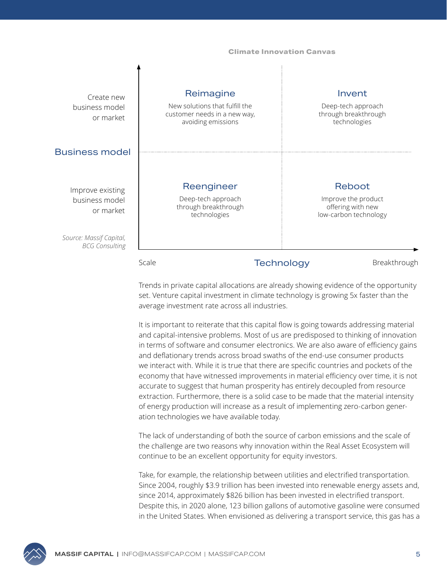#### **Climate Innovation Canvas**

| Create new<br>business model<br>or market        |       | Reimagine<br>New solutions that fulfill the<br>customer needs in a new way,<br>avoiding emissions |                   | Invent<br>Deep-tech approach<br>through breakthrough<br>technologies        |
|--------------------------------------------------|-------|---------------------------------------------------------------------------------------------------|-------------------|-----------------------------------------------------------------------------|
| <b>Business model</b>                            |       |                                                                                                   |                   |                                                                             |
| Improve existing<br>business model<br>or market  |       | Reengineer<br>Deep-tech approach<br>through breakthrough<br>technologies                          |                   | Reboot<br>Improve the product<br>offering with new<br>low-carbon technology |
| Source: Massif Capital,<br><b>BCG Consulting</b> |       |                                                                                                   |                   |                                                                             |
|                                                  | Scale |                                                                                                   | <b>Technology</b> | Breakthrough                                                                |

Trends in private capital allocations are already showing evidence of the opportunity set. Venture capital investment in climate technology is growing 5x faster than the average investment rate across all industries.

It is important to reiterate that this capital flow is going towards addressing material and capital-intensive problems. Most of us are predisposed to thinking of innovation in terms of software and consumer electronics. We are also aware of efficiency gains and deflationary trends across broad swaths of the end-use consumer products we interact with. While it is true that there are specific countries and pockets of the economy that have witnessed improvements in material efficiency over time, it is not accurate to suggest that human prosperity has entirely decoupled from resource extraction. Furthermore, there is a solid case to be made that the material intensity of energy production will increase as a result of implementing zero-carbon generation technologies we have available today.

The lack of understanding of both the source of carbon emissions and the scale of the challenge are two reasons why innovation within the Real Asset Ecosystem will continue to be an excellent opportunity for equity investors.

Take, for example, the relationship between utilities and electrified transportation. Since 2004, roughly \$3.9 trillion has been invested into renewable energy assets and, since 2014, approximately \$826 billion has been invested in electrified transport. Despite this, in 2020 alone, 123 billion gallons of automotive gasoline were consumed in the United States. When envisioned as delivering a transport service, this gas has a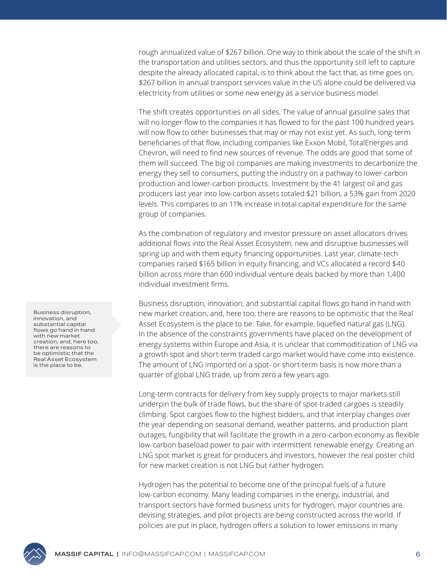rough annualized value of \$267 billion. One way to think about the scale of the shift in the transportation and utilities sectors, and thus the opportunity still left to capture despite the already allocated capital, is to think about the fact that, as time goes on, \$267 billion in annual transport services value in the US alone could be delivered via electricity from utilities or some new energy as a service business model.

The shift creates opportunities on all sides. The value of annual gasoline sales that will no longer flow to the companies it has flowed to for the past 100 hundred years will now flow to other businesses that may or may not exist yet. As such, long-term beneficiaries of that flow, including companies like Exxon Mobil, TotalEnergies and Chevron, will need to find new sources of revenue. The odds are good that some of them will succeed. The big oil companies are making investments to decarbonize the energy they sell to consumers, putting the industry on a pathway to lower-carbon production and lower-carbon products. Investment by the 41 largest oil and gas producers last year into low-carbon assets totaled \$21 billion, a 53% gain from 2020 levels. This compares to an 11% increase in total capital expenditure for the same group of companies.

As the combination of regulatory and investor pressure on asset allocators drives additional flows into the Real Asset Ecosystem, new and disruptive businesses will spring up and with them equity financing opportunities. Last year, climate-tech companies raised \$165 billion in equity financing, and VCs allocated a record \$40 billion across more than 600 individual venture deals backed by more than 1,400 individual investment firms.

Business disruption, innovation, and substantial capital flows go hand in hand with new market creation, and, here too, there are reasons to be optimistic that the Real Asset Ecosystem is the place to be. Take, for example, liquefied natural gas (LNG). In the absence of the constraints governments have placed on the development of energy systems within Europe and Asia, it is unclear that commoditization of LNG via a growth spot and short-term traded cargo market would have come into existence. The amount of LNG imported on a spot- or short-term basis is now more than a quarter of global LNG trade, up from zero a few years ago.

Long-term contracts for delivery from key supply projects to major markets still underpin the bulk of trade flows, but the share of spot-traded cargoes is steadily climbing. Spot cargoes flow to the highest bidders, and that interplay changes over the year depending on seasonal demand, weather patterns, and production plant outages; fungibility that will facilitate the growth in a zero-carbon economy as flexible low-carbon baseload power to pair with intermittent renewable energy. Creating an LNG spot market is great for producers and investors, however the real poster child for new market creation is not LNG but rather hydrogen.

Hydrogen has the potential to become one of the principal fuels of a future low-carbon economy. Many leading companies in the energy, industrial, and transport sectors have formed business units for hydrogen, major countries are devising strategies, and pilot projects are being constructed across the world. If policies are put in place, hydrogen offers a solution to lower emissions in many

Business disruption, innovation, and substantial capital flows go hand in hand with new market creation, and, here too, there are reasons to be optimistic that the Real Asset Ecosystem is the place to be.

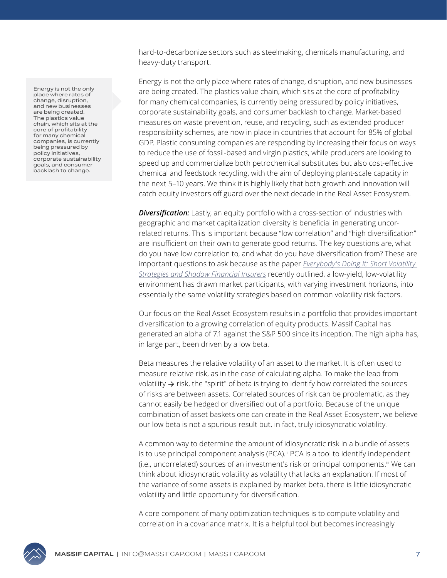Energy is not the only place where rates of change, disruption, and new businesses are being created. The plastics value chain, which sits at the core of profitability for many chemical companies, is currently being pressured by policy initiatives, corporate sustainability goals, and consumer backlash to change.

hard-to-decarbonize sectors such as steelmaking, chemicals manufacturing, and heavy-duty transport.

Energy is not the only place where rates of change, disruption, and new businesses are being created. The plastics value chain, which sits at the core of profitability for many chemical companies, is currently being pressured by policy initiatives, corporate sustainability goals, and consumer backlash to change. Market-based measures on waste prevention, reuse, and recycling, such as extended producer responsibility schemes, are now in place in countries that account for 85% of global GDP. Plastic consuming companies are responding by increasing their focus on ways to reduce the use of fossil-based and virgin plastics, while producers are looking to speed up and commercialize both petrochemical substitutes but also cost-effective chemical and feedstock recycling, with the aim of deploying plant-scale capacity in the next 5–10 years. We think it is highly likely that both growth and innovation will catch equity investors off guard over the next decade in the Real Asset Ecosystem.

**Diversification:** Lastly, an equity portfolio with a cross-section of industries with geographic and market capitalization diversity is beneficial in generating uncorrelated returns. This is important because "low correlation" and "high diversification" are insufficient on their own to generate good returns. The key questions are, what do you have low correlation to, and what do you have diversification from? These are important questions to ask because as the paper *[Everybody's Doing It: Short Volatility](https://www.longtailalpha.com/wp-content/uploads/2015/12/Everybodys-Doing-It.pdf)  [Strategies and Shadow Financial Insurers](https://www.longtailalpha.com/wp-content/uploads/2015/12/Everybodys-Doing-It.pdf)* recently outlined, a low-yield, low-volatility environment has drawn market participants, with varying investment horizons, into essentially the same volatility strategies based on common volatility risk factors.

Our focus on the Real Asset Ecosystem results in a portfolio that provides important diversification to a growing correlation of equity products. Massif Capital has generated an alpha of 7.1 against the S&P 500 since its inception. The high alpha has, in large part, been driven by a low beta.

Beta measures the relative volatility of an asset to the market. It is often used to measure relative risk, as in the case of calculating alpha. To make the leap from volatility  $\rightarrow$  risk, the "spirit" of beta is trying to identify how correlated the sources of risks are between assets. Correlated sources of risk can be problematic, as they cannot easily be hedged or diversified out of a portfolio. Because of the unique combination of asset baskets one can create in the Real Asset Ecosystem, we believe our low beta is not a spurious result but, in fact, truly idiosyncratic volatility.

A common way to determine the amount of idiosyncratic risk in a bundle of assets is to use principal component analysis (PCA).<sup>ii</sup> PCA is a tool to identify independent (i.e., uncorrelated) sources of an investment's risk or principal components.iii We can think about idiosyncratic volatility as volatility that lacks an explanation. If most of the variance of some assets is explained by market beta, there is little idiosyncratic volatility and little opportunity for diversification.

A core component of many optimization techniques is to compute volatility and correlation in a covariance matrix. It is a helpful tool but becomes increasingly

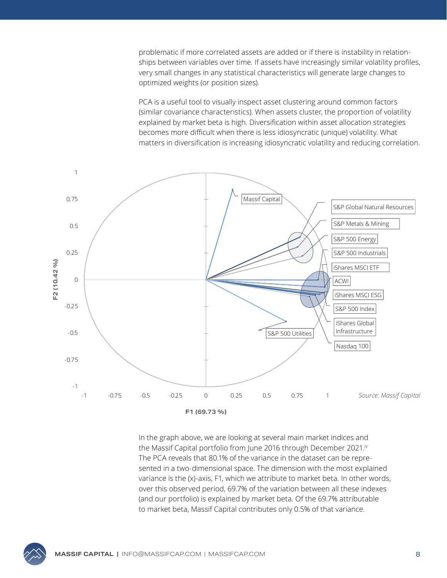problematic if more correlated assets are added or if there is instability in relationships between variables over time. If assets have increasingly similar volatility profiles, very small changes in any statistical characteristics will generate large changes to optimized weights (or position sizes).

PCA is a useful tool to visually inspect asset clustering around common factors (similar covariance characteristics). When assets cluster, the proportion of volatility explained by market beta is high. Diversification within asset allocation strategies becomes more difficult when there is less idiosyncratic (unique) volatility. What matters in diversification is increasing idiosyncratic volatility and reducing correlation.



In the graph above, we are looking at several main market indices and the Massif Capital portfolio from June 2016 through December 2021.<sup>iv</sup> The PCA reveals that 80.1% of the variance in the dataset can be represented in a two-dimensional space. The dimension with the most explained variance is the (x)-axis, F1, which we attribute to market beta. In other words, over this observed period, 69.7% of the variation between all these indexes (and our portfolio) is explained by market beta. Of the 69.7% attributable to market beta, Massif Capital contributes only 0.5% of that variance.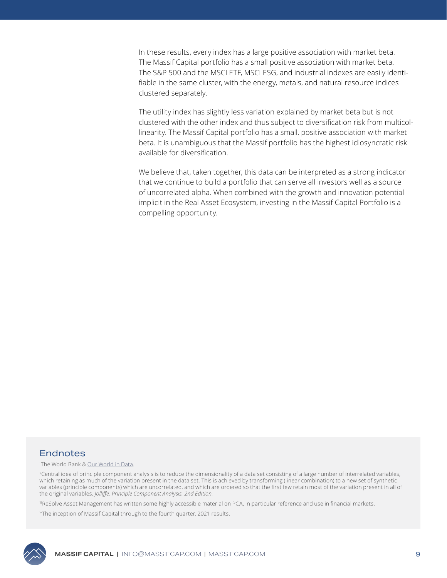In these results, every index has a large positive association with market beta. The Massif Capital portfolio has a small positive association with market beta. The S&P 500 and the MSCI ETF, MSCI ESG, and industrial indexes are easily identifiable in the same cluster, with the energy, metals, and natural resource indices clustered separately.

The utility index has slightly less variation explained by market beta but is not clustered with the other index and thus subject to diversification risk from multicollinearity. The Massif Capital portfolio has a small, positive association with market beta. It is unambiguous that the Massif portfolio has the highest idiosyncratic risk available for diversification.

We believe that, taken together, this data can be interpreted as a strong indicator that we continue to build a portfolio that can serve all investors well as a source of uncorrelated alpha. When combined with the growth and innovation potential implicit in the Real Asset Ecosystem, investing in the Massif Capital Portfolio is a compelling opportunity.

#### **Endnotes**

#### i The World Bank & [Our World in Data](https://ourworldindata.org/energy-access#:~:text=At%20a%20global%20level%2C%20the,increased%20to%2087%25%20in%202016.).

"Central idea of principle component analysis is to reduce the dimensionality of a data set consisting of a large number of interrelated variables, which retaining as much of the variation present in the data set. This is achieved by transforming (linear combination) to a new set of synthetic variables (principle components) which are uncorrelated, and which are ordered so that the first few retain most of the variation present in all of the original variables. *Jolliffe, Principle Component Analysis, 2nd Edition*.

iiiReSolve Asset Management has written some highly accessible material on PCA, in particular reference and use in financial markets.

ivThe inception of Massif Capital through to the fourth quarter, 2021 results.